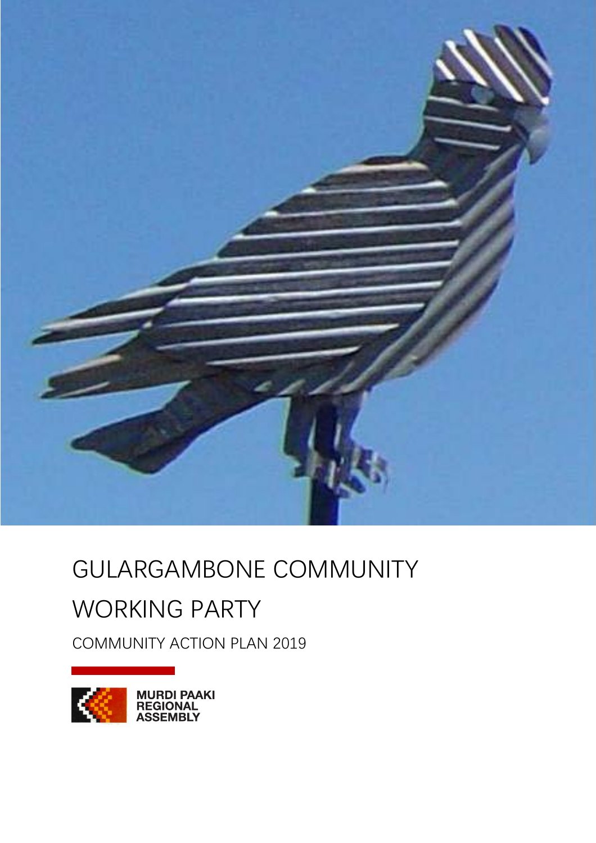

## GULARGAMBONE COMMUNITY WORKING PARTY

COMMUNITY ACTION PLAN 2019

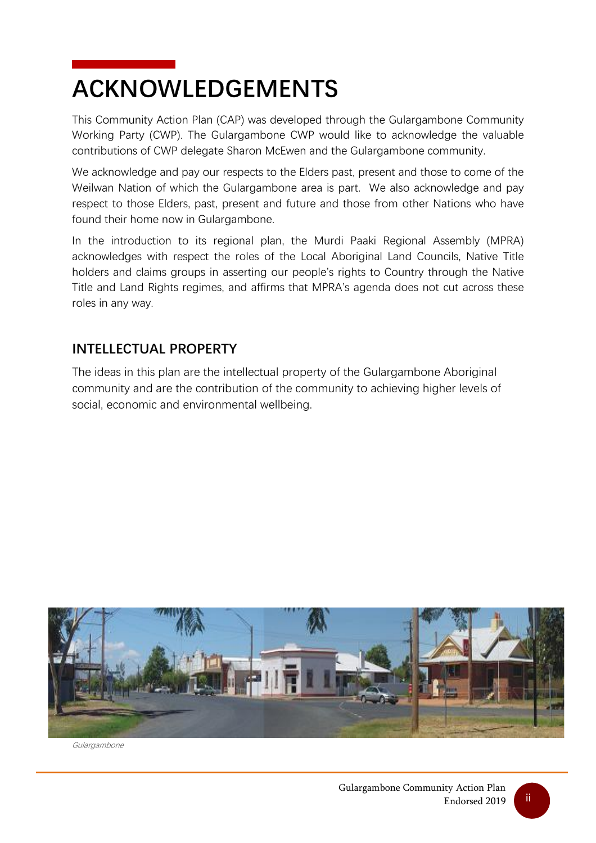## <span id="page-1-0"></span>**ACKNOWLEDGEMENTS**

This Community Action Plan (CAP) was developed through the Gulargambone Community Working Party (CWP). The Gulargambone CWP would like to acknowledge the valuable contributions of CWP delegate Sharon McEwen and the Gulargambone community.

We acknowledge and pay our respects to the Elders past, present and those to come of the Weilwan Nation of which the Gulargambone area is part. We also acknowledge and pay respect to those Elders, past, present and future and those from other Nations who have found their home now in Gulargambone.

In the introduction to its regional plan, the Murdi Paaki Regional Assembly (MPRA) acknowledges with respect the roles of the Local Aboriginal Land Councils, Native Title holders and claims groups in asserting our people's rights to Country through the Native Title and Land Rights regimes, and affirms that MPRA's agenda does not cut across these roles in any way.

### **INTELLECTUAL PROPERTY**

The ideas in this plan are the intellectual property of the Gulargambone Aboriginal community and are the contribution of the community to achieving higher levels of social, economic and environmental wellbeing.



Gulargambone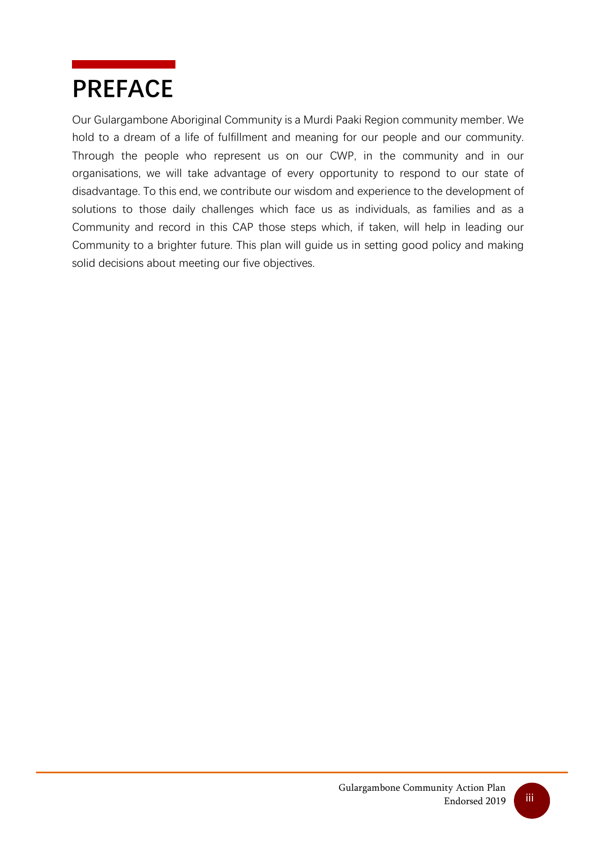## <span id="page-2-0"></span>**PREFACE**

Our Gulargambone Aboriginal Community is a Murdi Paaki Region community member. We hold to a dream of a life of fulfillment and meaning for our people and our community. Through the people who represent us on our CWP, in the community and in our organisations, we will take advantage of every opportunity to respond to our state of disadvantage. To this end, we contribute our wisdom and experience to the development of solutions to those daily challenges which face us as individuals, as families and as a Community and record in this CAP those steps which, if taken, will help in leading our Community to a brighter future. This plan will guide us in setting good policy and making solid decisions about meeting our five objectives.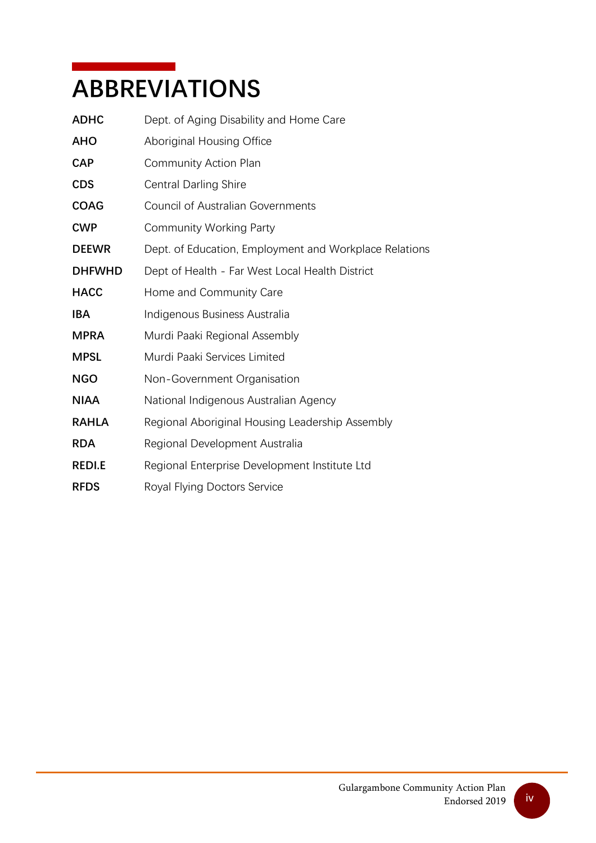## <span id="page-3-0"></span>**ABBREVIATIONS**

| Dept. of Aging Disability and Home Care                |
|--------------------------------------------------------|
| Aboriginal Housing Office                              |
| Community Action Plan                                  |
| <b>Central Darling Shire</b>                           |
| <b>Council of Australian Governments</b>               |
| <b>Community Working Party</b>                         |
| Dept. of Education, Employment and Workplace Relations |
| Dept of Health - Far West Local Health District        |
| Home and Community Care                                |
| Indigenous Business Australia                          |
| Murdi Paaki Regional Assembly                          |
| Murdi Paaki Services Limited                           |
| Non-Government Organisation                            |
| National Indigenous Australian Agency                  |
| Regional Aboriginal Housing Leadership Assembly        |
| Regional Development Australia                         |
| Regional Enterprise Development Institute Ltd          |
| Royal Flying Doctors Service                           |
|                                                        |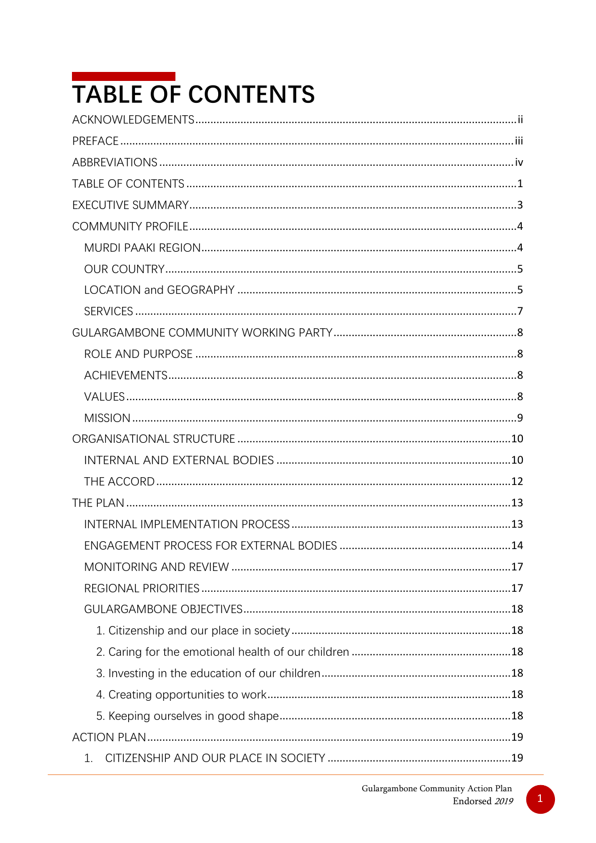# <span id="page-4-0"></span>TABLE OF CONTENTS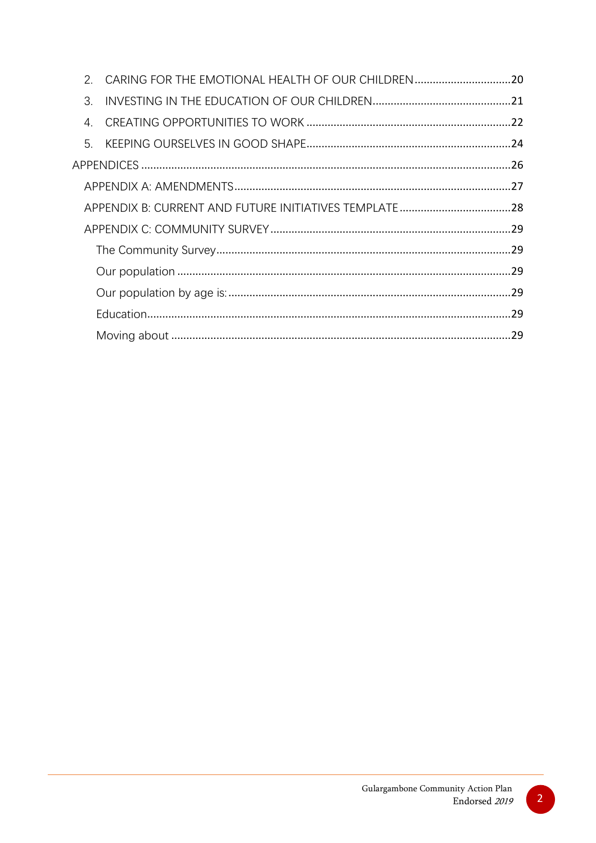| $\mathcal{P}$    | CARING FOR THE EMOTIONAL HEALTH OF OUR CHILDREN20 |  |
|------------------|---------------------------------------------------|--|
| 3.               |                                                   |  |
| $\overline{4}$ . |                                                   |  |
| 5.               |                                                   |  |
|                  |                                                   |  |
|                  |                                                   |  |
|                  |                                                   |  |
|                  |                                                   |  |
|                  |                                                   |  |
|                  |                                                   |  |
|                  |                                                   |  |
|                  |                                                   |  |
|                  |                                                   |  |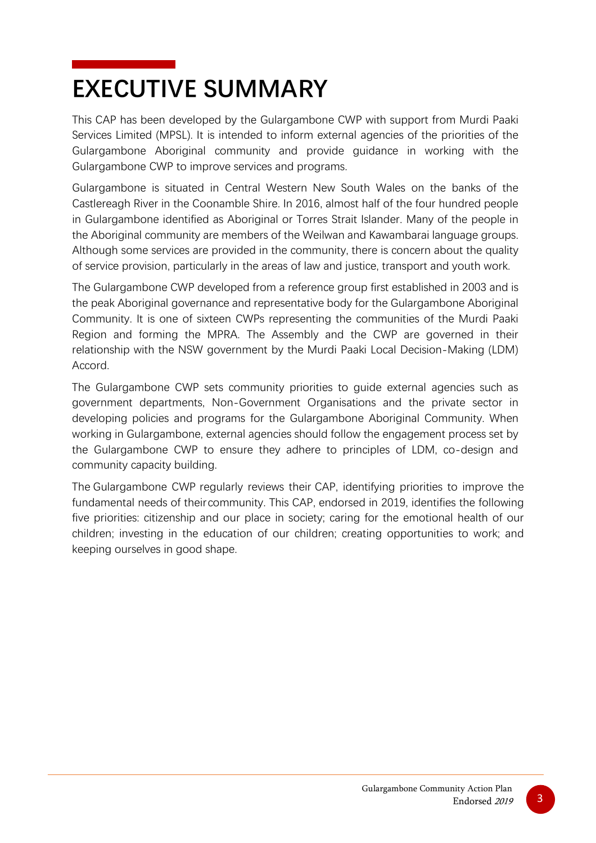## <span id="page-6-0"></span>**EXECUTIVE SUMMARY**

This CAP has been developed by the Gulargambone CWP with support from Murdi Paaki Services Limited (MPSL). It is intended to inform external agencies of the priorities of the Gulargambone Aboriginal community and provide guidance in working with the Gulargambone CWP to improve services and programs.

Gulargambone is situated in Central Western New South Wales on the banks of the Castlereagh River in the Coonamble Shire. In 2016, almost half of the four hundred people in Gulargambone identified as Aboriginal or Torres Strait Islander. Many of the people in the Aboriginal community are members of the Weilwan and Kawambarai language groups. Although some services are provided in the community, there is concern about the quality of service provision, particularly in the areas of law and justice, transport and youth work.

The Gulargambone CWP developed from a reference group first established in 2003 and is the peak Aboriginal governance and representative body for the Gulargambone Aboriginal Community. It is one of sixteen CWPs representing the communities of the Murdi Paaki Region and forming the MPRA. The Assembly and the CWP are governed in their relationship with the NSW government by the Murdi Paaki Local Decision-Making (LDM) Accord.

The Gulargambone CWP sets community priorities to guide external agencies such as government departments, Non-Government Organisations and the private sector in developing policies and programs for the Gulargambone Aboriginal Community. When working in Gulargambone, external agencies should follow the engagement process set by the Gulargambone CWP to ensure they adhere to principles of LDM, co-design and community capacity building.

The Gulargambone CWP regularly reviews their CAP, identifying priorities to improve the fundamental needs of theircommunity. This CAP, endorsed in 2019, identifies the following five priorities: citizenship and our place in society; caring for the emotional health of our children; investing in the education of our children; creating opportunities to work; and keeping ourselves in good shape.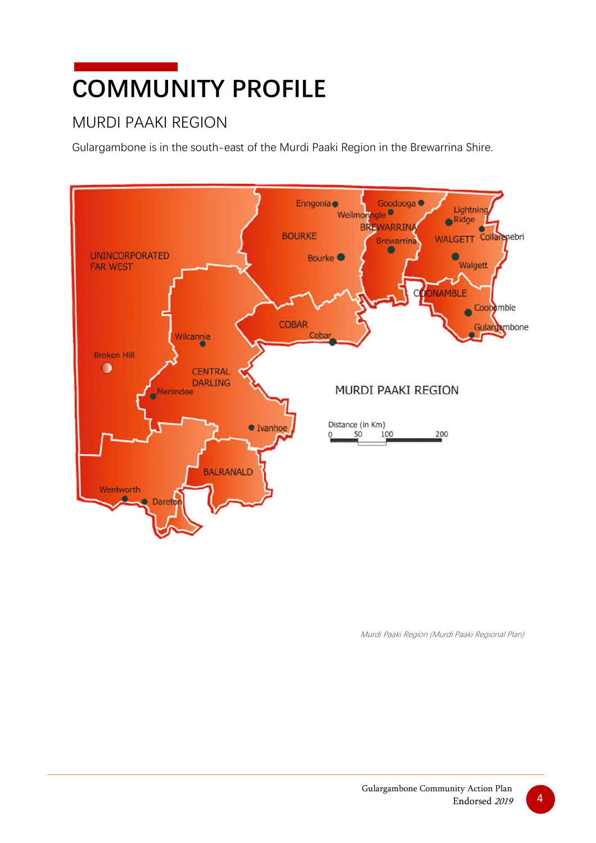# <span id="page-7-0"></span>**COMMUNITY PROFILE**

## <span id="page-7-1"></span>MURDI PAAKI REGION

Gulargambone is in the south-east of the Murdi Paaki Region in the Brewarrina Shire.



Murdi Paaki Region (Murdi Paaki Regional Plan)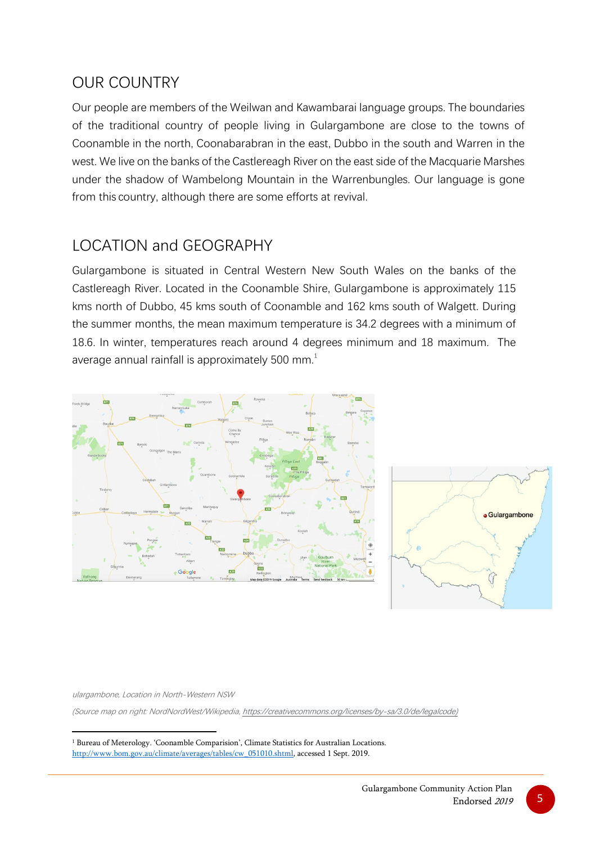### <span id="page-8-0"></span>OUR COUNTRY

Our people are members of the Weilwan and Kawambarai language groups. The boundaries of the traditional country of people living in Gulargambone are close to the towns of Coonamble in the north, Coonabarabran in the east, Dubbo in the south and Warren in the west. We live on the banks of the Castlereagh River on the east side of the Macquarie Marshes under the shadow of Wambelong Mountain in the Warrenbungles. Our language is gone from this country, although there are some efforts at revival.

### <span id="page-8-1"></span>LOCATION and GEOGRAPHY

Gulargambone is situated in Central Western New South Wales on the banks of the Castlereagh River. Located in the Coonamble Shire, Gulargambone is approximately 115 kms north of Dubbo, 45 kms south of Coonamble and 162 kms south of Walgett. During the summer months, the mean maximum temperature is 34.2 degrees with a minimum of 18.6. In winter, temperatures reach around 4 degrees minimum and 18 maximum. The average annual rainfall is approximately 500  $mm<sup>1</sup>$  $mm<sup>1</sup>$  $mm<sup>1</sup>$ 



ulargambone, Location in North-Western NSW

(Source map on right: NordNordWest/Wikipedia, [https://creativecommons.org/licenses/by-sa/3.0/de/legalcode\)](https://creativecommons.org/licenses/by-sa/3.0/de/legalcode)

<span id="page-8-2"></span><sup>&</sup>lt;sup>1</sup> Bureau of Meterology. 'Coonamble Comparision', Climate Statistics for Australian Locations. [http://www.bom.gov.au/climate/averages/tables/cw\\_051010.shtml,](http://www.bom.gov.au/climate/averages/tables/cw_051010.shtml) accessed 1 Sept. 2019.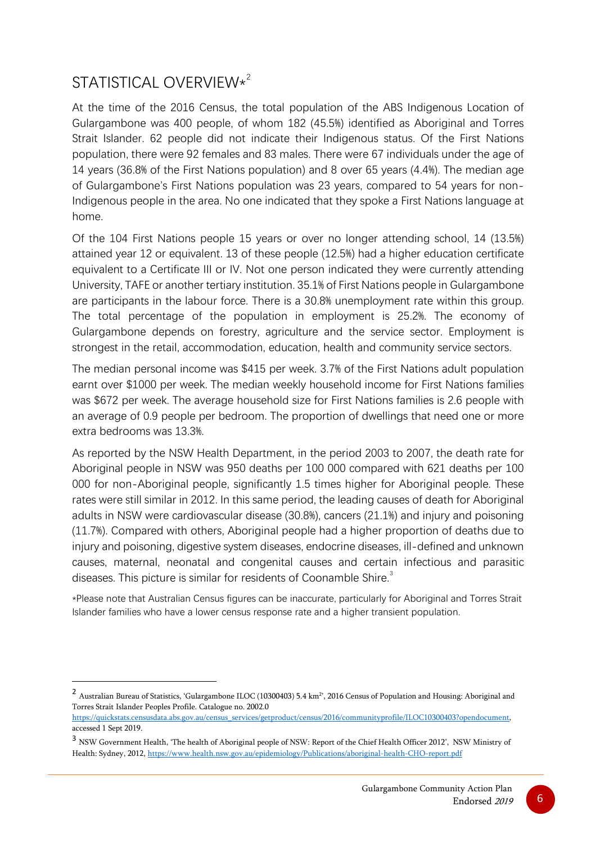## STATISTICAL OVERVIEW\* [2](#page-9-0)

At the time of the 2016 Census, the total population of the ABS Indigenous Location of Gulargambone was 400 people, of whom 182 (45.5%) identified as Aboriginal and Torres Strait Islander. 62 people did not indicate their Indigenous status. Of the First Nations population, there were 92 females and 83 males. There were 67 individuals under the age of 14 years (36.8% of the First Nations population) and 8 over 65 years (4.4%). The median age of Gulargambone's First Nations population was 23 years, compared to 54 years for non-Indigenous people in the area. No one indicated that they spoke a First Nations language at home.

Of the 104 First Nations people 15 years or over no longer attending school, 14 (13.5%) attained year 12 or equivalent. 13 of these people (12.5%) had a higher education certificate equivalent to a Certificate III or IV. Not one person indicated they were currently attending University, TAFE or another tertiary institution. 35.1% of First Nations people in Gulargambone are participants in the labour force. There is a 30.8% unemployment rate within this group. The total percentage of the population in employment is 25.2%. The economy of Gulargambone depends on forestry, agriculture and the service sector. Employment is strongest in the retail, accommodation, education, health and community service sectors.

The median personal income was \$415 per week. 3.7% of the First Nations adult population earnt over \$1000 per week. The median weekly household income for First Nations families was \$672 per week. The average household size for First Nations families is 2.6 people with an average of 0.9 people per bedroom. The proportion of dwellings that need one or more extra bedrooms was 13.3%.

As reported by the NSW Health Department, in the period 2003 to 2007, the death rate for Aboriginal people in NSW was 950 deaths per 100 000 compared with 621 deaths per 100 000 for non-Aboriginal people, significantly 1.5 times higher for Aboriginal people. These rates were still similar in 2012. In this same period, the leading causes of death for Aboriginal adults in NSW were cardiovascular disease (30.8%), cancers (21.1%) and injury and poisoning (11.7%). Compared with others, Aboriginal people had a higher proportion of deaths due to injury and poisoning, digestive system diseases, endocrine diseases, ill-defined and unknown causes, maternal, neonatal and congenital causes and certain infectious and parasitic diseases. This picture is similar for residents of Coonamble Shire.<sup>[3](#page-9-1)</sup>

\*Please note that Australian Census figures can be inaccurate, particularly for Aboriginal and Torres Strait Islander families who have a lower census response rate and a higher transient population.

<span id="page-9-0"></span><sup>&</sup>lt;sup>2</sup> Australian Bureau of Statistics, 'Gulargambone ILOC (10300403) 5.4 km<sup>2</sup>, 2016 Census of Population and Housing: Aboriginal and Torres Strait Islander Peoples Profile. Catalogue no. 2002.0

[https://quickstats.censusdata.abs.gov.au/census\\_services/getproduct/census/2016/communityprofile/ILOC10300403?opendocument,](https://quickstats.censusdata.abs.gov.au/census_services/getproduct/census/2016/communityprofile/ILOC10300403?opendocument) accessed 1 Sept 2019.

<span id="page-9-1"></span><sup>3</sup> NSW Government Health, 'The health of Aboriginal people of NSW: Report of the Chief Health Officer 2012', NSW Ministry of Health: Sydney, 2012[, https://www.health.nsw.gov.au/epidemiology/Publications/aboriginal-health-CHO-report.pdf](https://www.health.nsw.gov.au/epidemiology/Publications/aboriginal-health-CHO-report.pdf)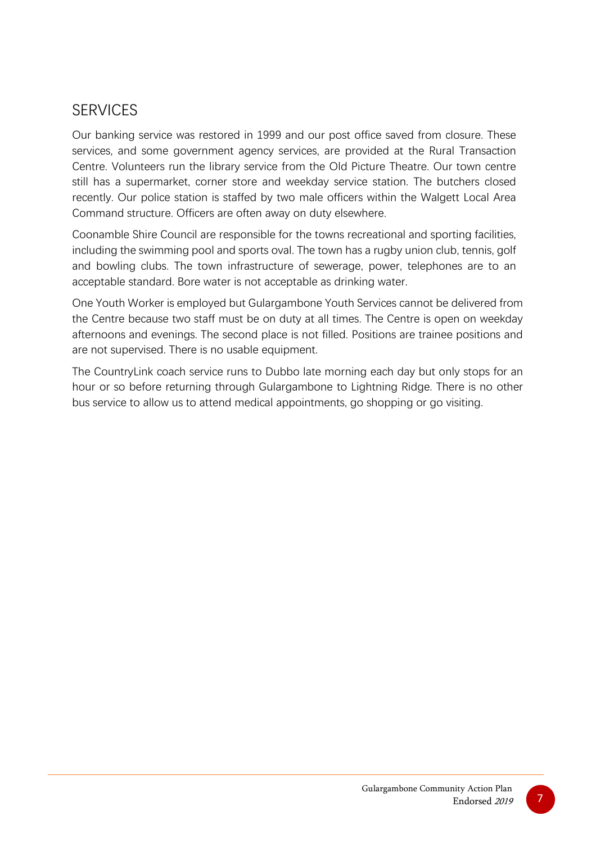### <span id="page-10-0"></span>SERVICES

Our banking service was restored in 1999 and our post office saved from closure. These services, and some government agency services, are provided at the Rural Transaction Centre. Volunteers run the library service from the Old Picture Theatre. Our town centre still has a supermarket, corner store and weekday service station. The butchers closed recently. Our police station is staffed by two male officers within the Walgett Local Area Command structure. Officers are often away on duty elsewhere.

Coonamble Shire Council are responsible for the towns recreational and sporting facilities, including the swimming pool and sports oval. The town has a rugby union club, tennis, golf and bowling clubs. The town infrastructure of sewerage, power, telephones are to an acceptable standard. Bore water is not acceptable as drinking water.

One Youth Worker is employed but Gulargambone Youth Services cannot be delivered from the Centre because two staff must be on duty at all times. The Centre is open on weekday afternoons and evenings. The second place is not filled. Positions are trainee positions and are not supervised. There is no usable equipment.

The CountryLink coach service runs to Dubbo late morning each day but only stops for an hour or so before returning through Gulargambone to Lightning Ridge. There is no other bus service to allow us to attend medical appointments, go shopping or go visiting.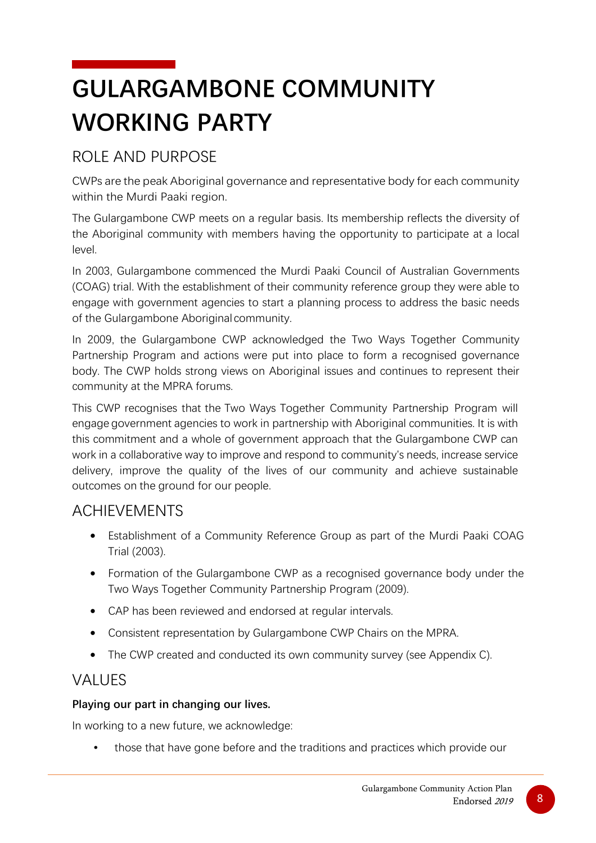## <span id="page-11-0"></span>**GULARGAMBONE COMMUNITY WORKING PARTY**

## <span id="page-11-1"></span>ROLE AND PURPOSE

CWPs are the peak Aboriginal governance and representative body for each community within the Murdi Paaki region.

The Gulargambone CWP meets on a regular basis. Its membership reflects the diversity of the Aboriginal community with members having the opportunity to participate at a local level.

In 2003, Gulargambone commenced the Murdi Paaki Council of Australian Governments (COAG) trial. With the establishment of their community reference group they were able to engage with government agencies to start a planning process to address the basic needs of the Gulargambone Aboriginal community.

In 2009, the Gulargambone CWP acknowledged the Two Ways Together Community Partnership Program and actions were put into place to form a recognised governance body. The CWP holds strong views on Aboriginal issues and continues to represent their community at the MPRA forums.

This CWP recognises that the Two Ways Together Community Partnership Program will engage government agencies to work in partnership with Aboriginal communities. It is with this commitment and a whole of government approach that the Gulargambone CWP can work in a collaborative way to improve and respond to community's needs, increase service delivery, improve the quality of the lives of our community and achieve sustainable outcomes on the ground for our people.

### <span id="page-11-2"></span>ACHIEVEMENTS

- Establishment of a Community Reference Group as part of the Murdi Paaki COAG Trial (2003).
- Formation of the Gulargambone CWP as a recognised governance body under the Two Ways Together Community Partnership Program (2009).
- CAP has been reviewed and endorsed at regular intervals.
- Consistent representation by Gulargambone CWP Chairs on the MPRA.
- The CWP created and conducted its own community survey (see Appendix C).

### <span id="page-11-3"></span>VALUES

#### **Playing our part in changing our lives.**

In working to a new future, we acknowledge:

• those that have gone before and the traditions and practices which provide our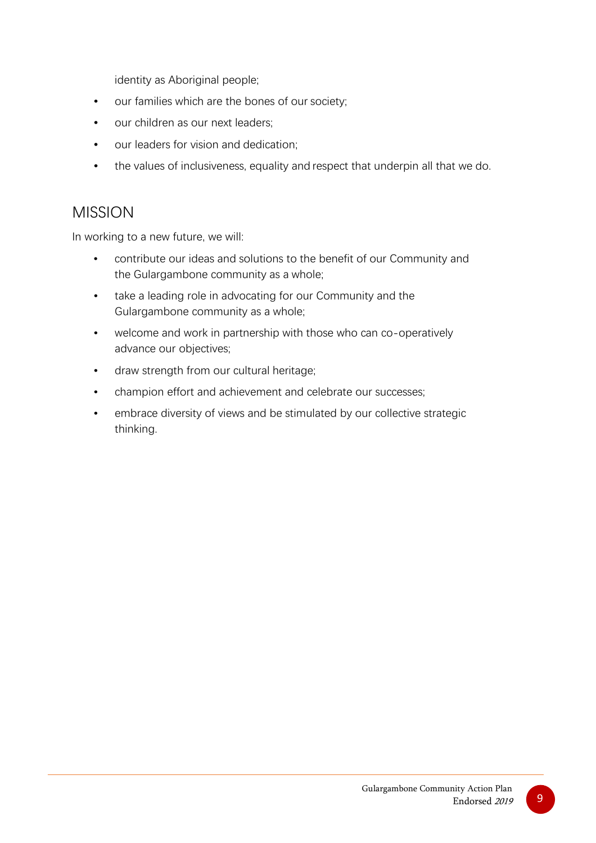identity as Aboriginal people;

- our families which are the bones of our society;
- our children as our next leaders:
- our leaders for vision and dedication;
- the values of inclusiveness, equality and respect that underpin all that we do.

### <span id="page-12-0"></span>MISSION

In working to a new future, we will:

- contribute our ideas and solutions to the benefit of our Community and the Gulargambone community as a whole;
- take a leading role in advocating for our Community and the Gulargambone community as a whole;
- welcome and work in partnership with those who can co-operatively advance our objectives;
- draw strength from our cultural heritage;
- champion effort and achievement and celebrate our successes;
- embrace diversity of views and be stimulated by our collective strategic thinking.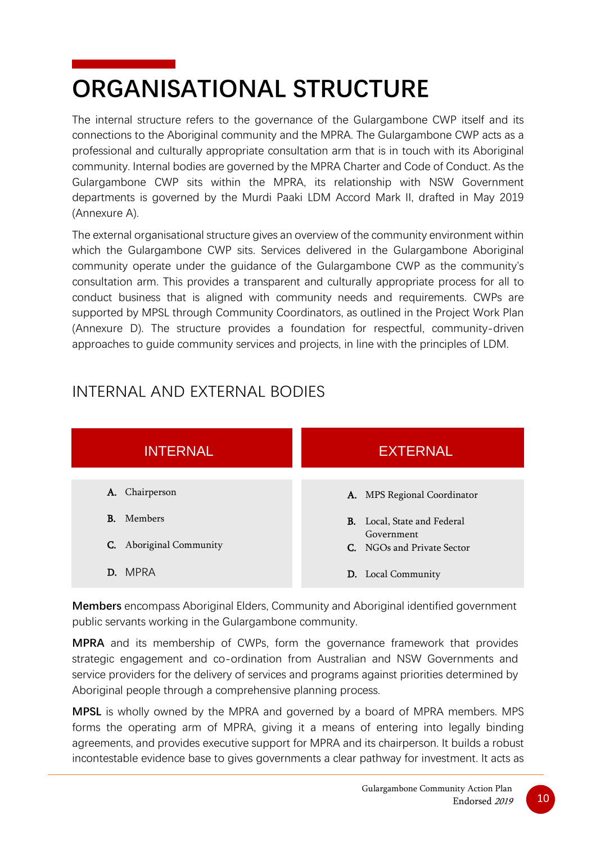# <span id="page-13-0"></span>**ORGANISATIONAL STRUCTURE**

The internal structure refers to the governance of the Gulargambone CWP itself and its connections to the Aboriginal community and the MPRA. The Gulargambone CWP acts as a professional and culturally appropriate consultation arm that is in touch with its Aboriginal community. Internal bodies are governed by the MPRA Charter and Code of Conduct. As the Gulargambone CWP sits within the MPRA, its relationship with NSW Government departments is governed by the Murdi Paaki LDM Accord Mark II, drafted in May 2019 (Annexure A).

The external organisational structure gives an overview of the community environment within which the Gulargambone CWP sits. Services delivered in the Gulargambone Aboriginal community operate under the guidance of the Gulargambone CWP as the community's consultation arm. This provides a transparent and culturally appropriate process for all to conduct business that is aligned with community needs and requirements. CWPs are supported by MPSL through Community Coordinators, as outlined in the Project Work Plan (Annexure D). The structure provides a foundation for respectful, community-driven approaches to guide community services and projects, in line with the principles of LDM.

## <span id="page-13-1"></span>INTERNAL AND EXTERNAL BODIES



**Members** encompass Aboriginal Elders, Community and Aboriginal identified government public servants working in the Gulargambone community.

**MPRA** and its membership of CWPs, form the governance framework that provides strategic engagement and co-ordination from Australian and NSW Governments and service providers for the delivery of services and programs against priorities determined by Aboriginal people through a comprehensive planning process.

**MPSL** is wholly owned by the MPRA and governed by a board of MPRA members. MPS forms the operating arm of MPRA, giving it a means of entering into legally binding agreements, and provides executive support for MPRA and its chairperson. It builds a robust incontestable evidence base to gives governments a clear pathway for investment. It acts as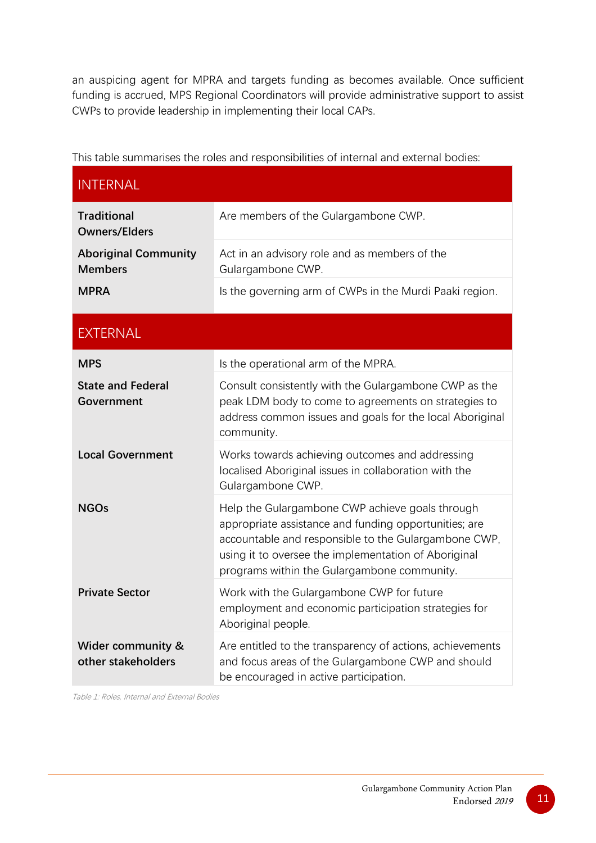an auspicing agent for MPRA and targets funding as becomes available. Once sufficient funding is accrued, MPS Regional Coordinators will provide administrative support to assist CWPs to provide leadership in implementing their local CAPs.

This table summarises the roles and responsibilities of internal and external bodies:

| <b>INTERNAL</b>                                    |                                                                                                                                                                                                                                                                         |
|----------------------------------------------------|-------------------------------------------------------------------------------------------------------------------------------------------------------------------------------------------------------------------------------------------------------------------------|
| <b>Traditional</b><br><b>Owners/Elders</b>         | Are members of the Gulargambone CWP.                                                                                                                                                                                                                                    |
| <b>Aboriginal Community</b><br><b>Members</b>      | Act in an advisory role and as members of the<br>Gulargambone CWP.                                                                                                                                                                                                      |
| <b>MPRA</b>                                        | Is the governing arm of CWPs in the Murdi Paaki region.                                                                                                                                                                                                                 |
| <b>EXTERNAL</b>                                    |                                                                                                                                                                                                                                                                         |
| <b>MPS</b>                                         | Is the operational arm of the MPRA.                                                                                                                                                                                                                                     |
| <b>State and Federal</b><br>Government             | Consult consistently with the Gulargambone CWP as the<br>peak LDM body to come to agreements on strategies to<br>address common issues and goals for the local Aboriginal<br>community.                                                                                 |
| <b>Local Government</b>                            | Works towards achieving outcomes and addressing<br>localised Aboriginal issues in collaboration with the<br>Gulargambone CWP.                                                                                                                                           |
| <b>NGOs</b>                                        | Help the Gulargambone CWP achieve goals through<br>appropriate assistance and funding opportunities; are<br>accountable and responsible to the Gulargambone CWP,<br>using it to oversee the implementation of Aboriginal<br>programs within the Gulargambone community. |
| <b>Private Sector</b>                              | Work with the Gulargambone CWP for future<br>employment and economic participation strategies for<br>Aboriginal people.                                                                                                                                                 |
| <b>Wider community &amp;</b><br>other stakeholders | Are entitled to the transparency of actions, achievements<br>and focus areas of the Gulargambone CWP and should<br>be encouraged in active participation.                                                                                                               |

Table 1: Roles, Internal and External Bodies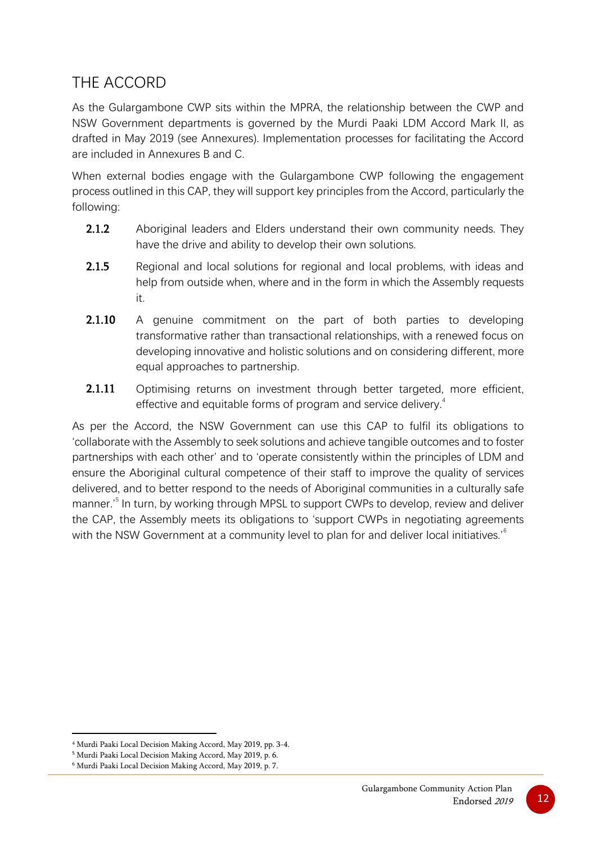## <span id="page-15-0"></span>THE ACCORD

As the Gulargambone CWP sits within the MPRA, the relationship between the CWP and NSW Government departments is governed by the Murdi Paaki LDM Accord Mark II, as drafted in May 2019 (see Annexures). Implementation processes for facilitating the Accord are included in Annexures B and C.

When external bodies engage with the Gulargambone CWP following the engagement process outlined in this CAP, they will support key principles from the Accord, particularly the following:

- **2.1.2** Aboriginal leaders and Elders understand their own community needs. They have the drive and ability to develop their own solutions.
- **2.1.5** Regional and local solutions for regional and local problems, with ideas and help from outside when, where and in the form in which the Assembly requests it.
- **2.1.10** A genuine commitment on the part of both parties to developing transformative rather than transactional relationships, with a renewed focus on developing innovative and holistic solutions and on considering different, more equal approaches to partnership.
- **2.1.11** Optimising returns on investment through better targeted, more efficient, effective and equitable forms of program and service delivery.<sup>[4](#page-15-1)</sup>

As per the Accord, the NSW Government can use this CAP to fulfil its obligations to 'collaborate with the Assembly to seek solutions and achieve tangible outcomes and to foster partnerships with each other' and to 'operate consistently within the principles of LDM and ensure the Aboriginal cultural competence of their staff to improve the quality of services delivered, and to better respond to the needs of Aboriginal communities in a culturally safe manner.'<sup>[5](#page-15-2)</sup> In turn, by working through MPSL to support CWPs to develop, review and deliver the CAP, the Assembly meets its obligations to 'support CWPs in negotiating agreements with the NSW Government at a community level to plan for and deliver local initiatives.<sup>[6](#page-15-3)</sup>

<span id="page-15-1"></span><sup>4</sup> Murdi Paaki Local Decision Making Accord, May 2019, pp. 3-4.

<span id="page-15-2"></span><sup>5</sup> Murdi Paaki Local Decision Making Accord, May 2019, p. 6.

<span id="page-15-3"></span><sup>6</sup> Murdi Paaki Local Decision Making Accord, May 2019, p. 7.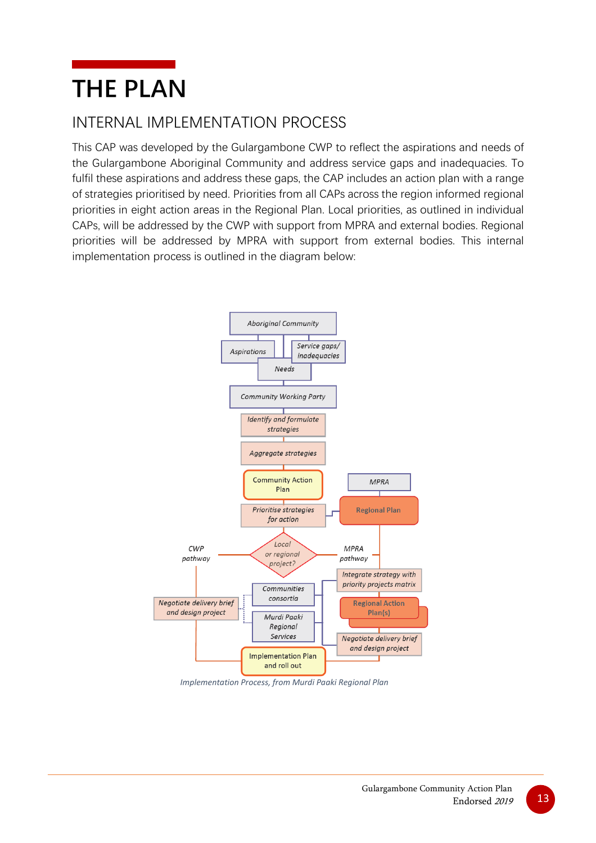## <span id="page-16-0"></span>**THE PLAN**

## <span id="page-16-1"></span>INTERNAL IMPLEMENTATION PROCESS

This CAP was developed by the Gulargambone CWP to reflect the aspirations and needs of the Gulargambone Aboriginal Community and address service gaps and inadequacies. To fulfil these aspirations and address these gaps, the CAP includes an action plan with a range of strategies prioritised by need. Priorities from all CAPs across the region informed regional priorities in eight action areas in the Regional Plan. Local priorities, as outlined in individual CAPs, will be addressed by the CWP with support from MPRA and external bodies. Regional priorities will be addressed by MPRA with support from external bodies. This internal implementation process is outlined in the diagram below:



*Implementation Process, from Murdi Paaki Regional Plan*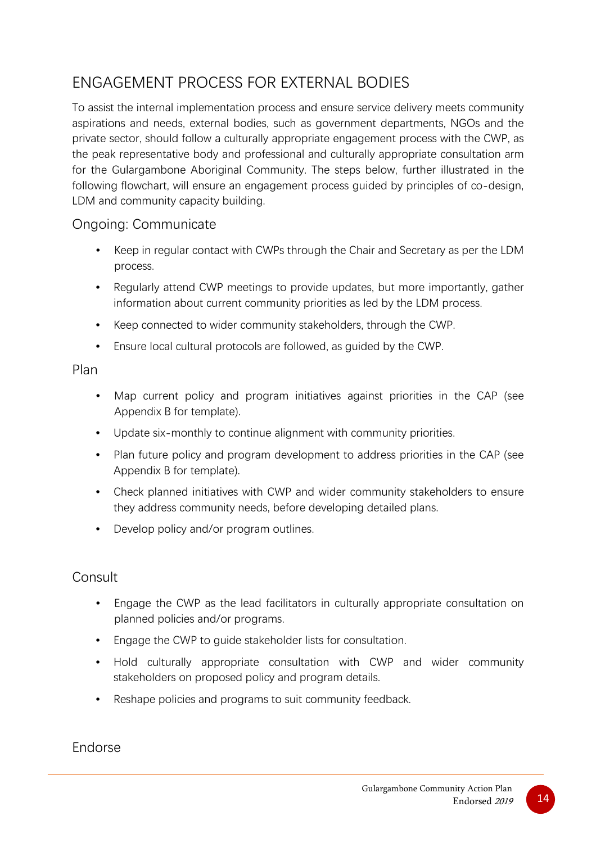## <span id="page-17-0"></span>ENGAGEMENT PROCESS FOR EXTERNAL BODIES

To assist the internal implementation process and ensure service delivery meets community aspirations and needs, external bodies, such as government departments, NGOs and the private sector, should follow a culturally appropriate engagement process with the CWP, as the peak representative body and professional and culturally appropriate consultation arm for the Gulargambone Aboriginal Community. The steps below, further illustrated in the following flowchart, will ensure an engagement process guided by principles of co-design, LDM and community capacity building.

#### Ongoing: Communicate

- Keep in regular contact with CWPs through the Chair and Secretary as per the LDM process.
- Regularly attend CWP meetings to provide updates, but more importantly, gather information about current community priorities as led by the LDM process.
- Keep connected to wider community stakeholders, through the CWP.
- Ensure local cultural protocols are followed, as guided by the CWP.

#### Plan

- Map current policy and program initiatives against priorities in the CAP (see Appendix B for template).
- Update six-monthly to continue alignment with community priorities.
- Plan future policy and program development to address priorities in the CAP (see Appendix B for template).
- Check planned initiatives with CWP and wider community stakeholders to ensure they address community needs, before developing detailed plans.
- Develop policy and/or program outlines.

#### Consult

- Engage the CWP as the lead facilitators in culturally appropriate consultation on planned policies and/or programs.
- Engage the CWP to guide stakeholder lists for consultation.
- Hold culturally appropriate consultation with CWP and wider community stakeholders on proposed policy and program details.
- Reshape policies and programs to suit community feedback.

Endorse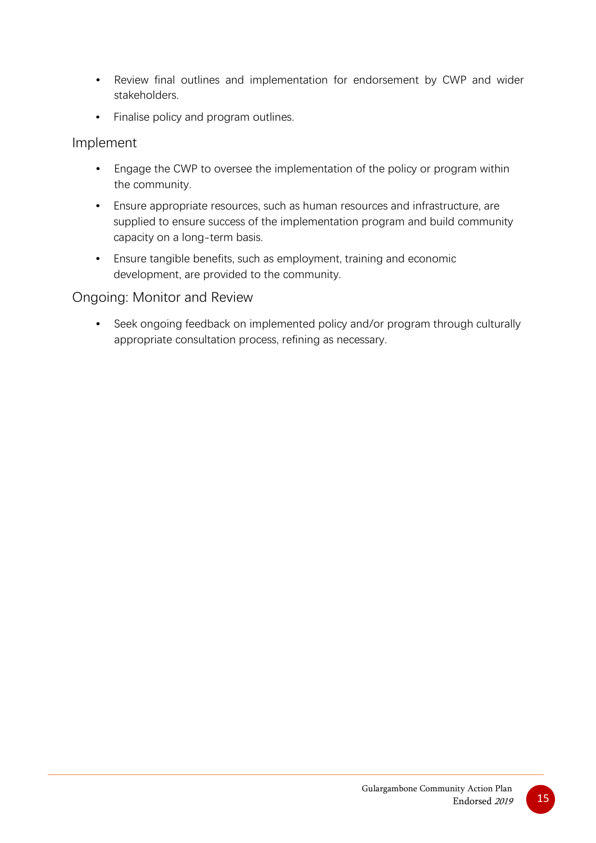- Review final outlines and implementation for endorsement by CWP and wider stakeholders.
- Finalise policy and program outlines.

#### Implement

- Engage the CWP to oversee the implementation of the policy or program within the community.
- Ensure appropriate resources, such as human resources and infrastructure, are supplied to ensure success of the implementation program and build community capacity on a long-term basis.
- Ensure tangible benefits, such as employment, training and economic development, are provided to the community.

#### Ongoing: Monitor and Review

• Seek ongoing feedback on implemented policy and/or program through culturally appropriate consultation process, refining as necessary.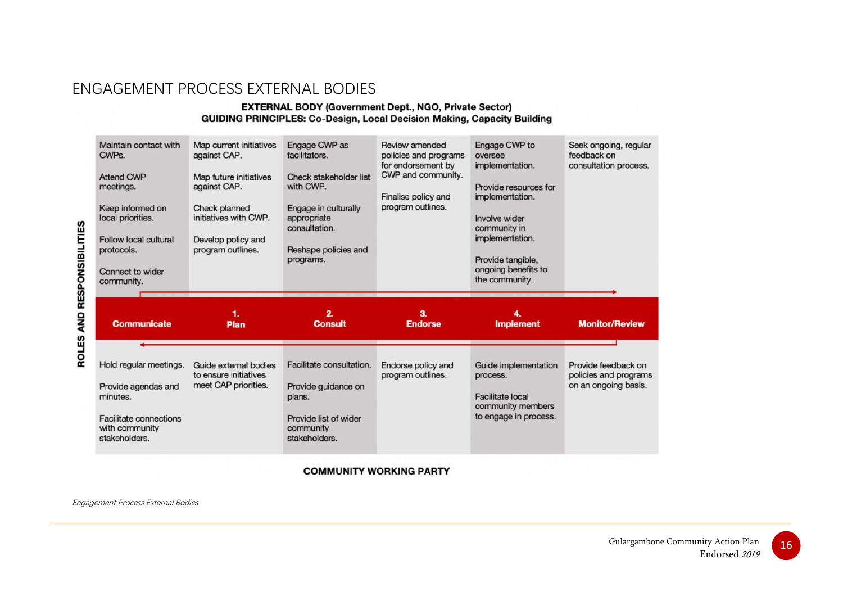### ENGAGEMENT PROCESS EXTERNAL BODIES

#### **EXTERNAL BODY (Government Dept., NGO, Private Sector) GUIDING PRINCIPLES: Co-Design, Local Decision Making, Capacity Building**

| Maintain contact with<br>CWPs.<br><b>Attend CWP</b><br>meetings.<br>Keep informed on<br>local priorities.<br>Follow local cultural<br>protocols.<br>Connect to wider<br>community. | Map current initiatives<br>against CAP.<br>Map future initiatives<br>against CAP.<br><b>Check planned</b><br>initiatives with CWP.<br>Develop policy and<br>program outlines. | Engage CWP as<br>facilitators.<br><b>Check stakeholder list</b><br>with CWP.<br>Engage in culturally<br>appropriate<br>consultation.<br>Reshape policies and<br>programs. | Review amended<br>policies and programs<br>for endorsement by<br>CWP and community.<br>Finalise policy and<br>program outlines. | Engage CWP to<br>oversee<br>implementation.<br>Provide resources for<br>implementation.<br>Involve wider<br>community in<br>implementation.<br>Provide tangible,<br>ongoing benefits to<br>the community. | Seek ongoing, regular<br>feedback on<br>consultation process. |
|------------------------------------------------------------------------------------------------------------------------------------------------------------------------------------|-------------------------------------------------------------------------------------------------------------------------------------------------------------------------------|---------------------------------------------------------------------------------------------------------------------------------------------------------------------------|---------------------------------------------------------------------------------------------------------------------------------|-----------------------------------------------------------------------------------------------------------------------------------------------------------------------------------------------------------|---------------------------------------------------------------|
| <b>Communicate</b>                                                                                                                                                                 | 1.<br>Plan                                                                                                                                                                    | 2.<br><b>Consult</b>                                                                                                                                                      | 3.<br><b>Endorse</b>                                                                                                            | 4.<br><b>Implement</b>                                                                                                                                                                                    | <b>Monitor/Review</b>                                         |
| Hold regular meetings.                                                                                                                                                             |                                                                                                                                                                               |                                                                                                                                                                           |                                                                                                                                 |                                                                                                                                                                                                           |                                                               |

**COMMUNITY WORKING PARTY** 

Engagement Process External Bodies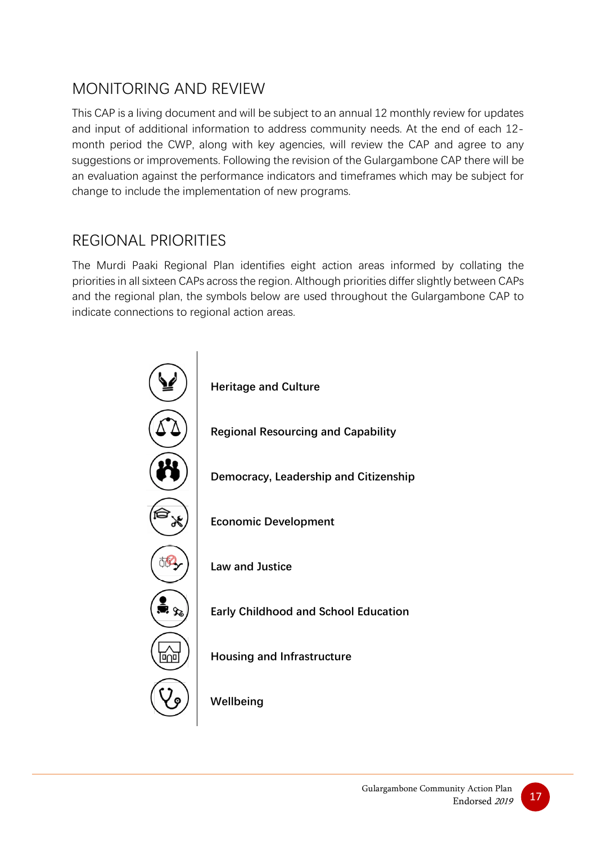## <span id="page-20-0"></span>MONITORING AND REVIEW

This CAP is a living document and will be subject to an annual 12 monthly review for updates and input of additional information to address community needs. At the end of each 12 month period the CWP, along with key agencies, will review the CAP and agree to any suggestions or improvements. Following the revision of the Gulargambone CAP there will be an evaluation against the performance indicators and timeframes which may be subject for change to include the implementation of new programs.

### <span id="page-20-1"></span>REGIONAL PRIORITIES

The Murdi Paaki Regional Plan identifies eight action areas informed by collating the priorities in all sixteen CAPs across the region. Although priorities differ slightly between CAPs and the regional plan, the symbols below are used throughout the Gulargambone CAP to indicate connections to regional action areas.

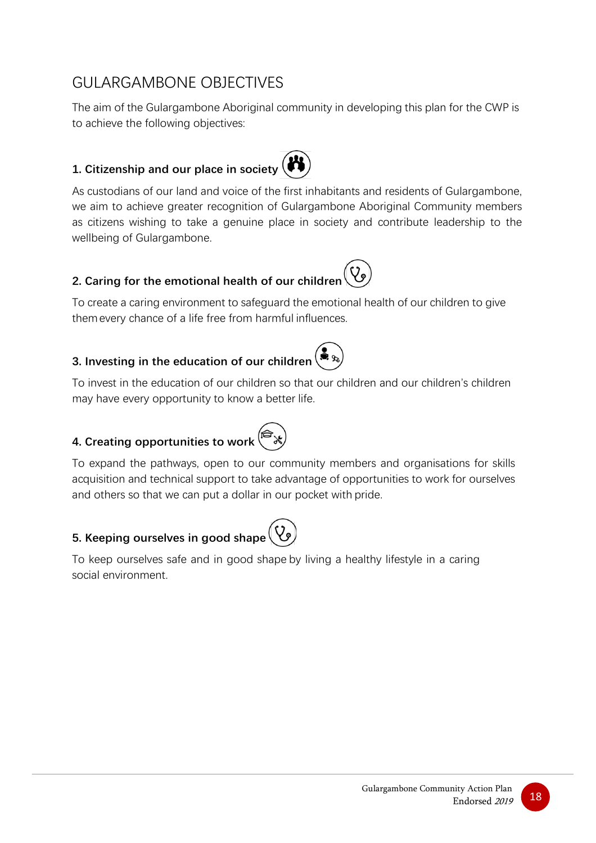## <span id="page-21-0"></span>GULARGAMBONE OBJECTIVES

The aim of the Gulargambone Aboriginal community in developing this plan for the CWP is to achieve the following objectives:

#### <span id="page-21-1"></span>**1. Citizenship and our place in society**

As custodians of our land and voice of the first inhabitants and residents of Gulargambone, we aim to achieve greater recognition of Gulargambone Aboriginal Community members as citizens wishing to take a genuine place in society and contribute leadership to the wellbeing of Gulargambone.

#### <span id="page-21-2"></span>**2. Caring for the emotional health of our children**

To create a caring environment to safeguard the emotional health of our children to give themevery chance of a life free from harmful influences.

#### <span id="page-21-3"></span>**3. Investing in the education of our children**

To invest in the education of our children so that our children and our children's children may have every opportunity to know a better life.

#### <span id="page-21-4"></span>**4. Creating opportunities to work**



To expand the pathways, open to our community members and organisations for skills acquisition and technical support to take advantage of opportunities to work for ourselves and others so that we can put a dollar in our pocket with pride.

#### <span id="page-21-5"></span>**5. Keeping ourselves in good shape**

To keep ourselves safe and in good shape by living a healthy lifestyle in a caring social environment.

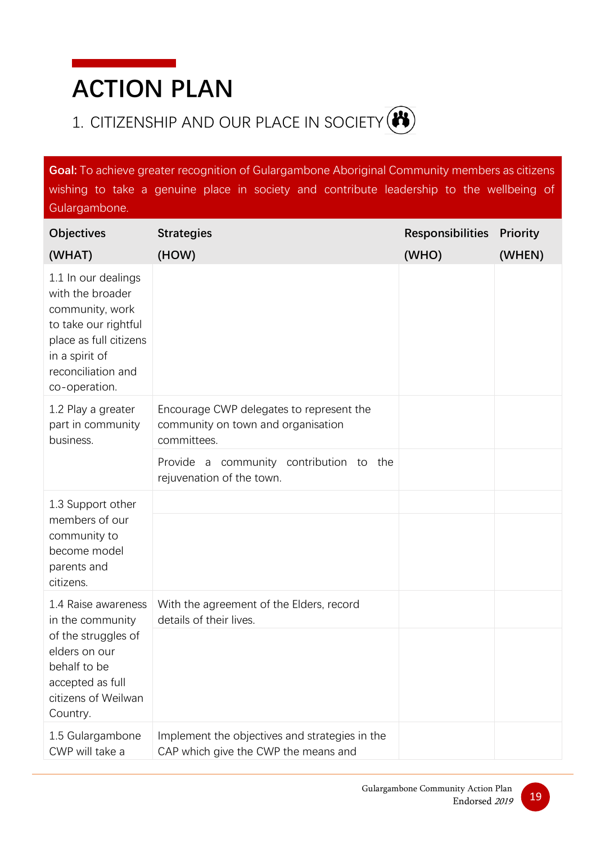## <span id="page-22-0"></span>**ACTION PLAN**

## <span id="page-22-1"></span>1. CITIZENSHIP AND OUR PLACE IN SOCIETY (<sup>3</sup>)

**Goal:** To achieve greater recognition of Gulargambone Aboriginal Community members as citizens wishing to take a genuine place in society and contribute leadership to the wellbeing of Gulargambone.

| <b>Objectives</b>                                                                                                                                                     | <b>Strategies</b>                                                                             | <b>Responsibilities</b> | <b>Priority</b> |
|-----------------------------------------------------------------------------------------------------------------------------------------------------------------------|-----------------------------------------------------------------------------------------------|-------------------------|-----------------|
| (WHAT)                                                                                                                                                                | (HOW)                                                                                         | (WHO)                   | (WHEN)          |
| 1.1 In our dealings<br>with the broader<br>community, work<br>to take our rightful<br>place as full citizens<br>in a spirit of<br>reconciliation and<br>co-operation. |                                                                                               |                         |                 |
| 1.2 Play a greater<br>part in community<br>business.                                                                                                                  | Encourage CWP delegates to represent the<br>community on town and organisation<br>committees. |                         |                 |
|                                                                                                                                                                       | Provide a community contribution to the<br>rejuvenation of the town.                          |                         |                 |
| 1.3 Support other<br>members of our<br>community to<br>become model<br>parents and<br>citizens.                                                                       |                                                                                               |                         |                 |
| 1.4 Raise awareness<br>in the community<br>of the struggles of<br>elders on our<br>behalf to be<br>accepted as full<br>citizens of Weilwan<br>Country.                | With the agreement of the Elders, record<br>details of their lives.                           |                         |                 |
|                                                                                                                                                                       |                                                                                               |                         |                 |
| 1.5 Gulargambone<br>CWP will take a                                                                                                                                   | Implement the objectives and strategies in the<br>CAP which give the CWP the means and        |                         |                 |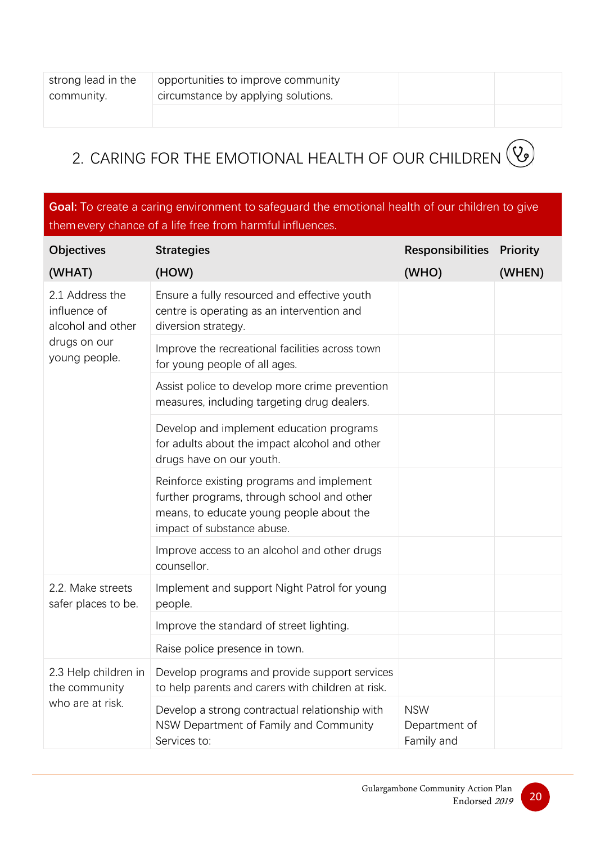| strong lead in the<br>community. | opportunities to improve community<br>circumstance by applying solutions. |  |
|----------------------------------|---------------------------------------------------------------------------|--|
|                                  |                                                                           |  |

## <span id="page-23-0"></span>2. CARING FOR THE EMOTIONAL HEALTH OF OUR CHILDREN (V)

**Goal:** To create a caring environment to safeguard the emotional health of our children to give themevery chance of a life free from harmful influences.

| <b>Objectives</b>                                         | <b>Strategies</b>                                                                                                                                                 | <b>Responsibilities Priority</b>          |        |
|-----------------------------------------------------------|-------------------------------------------------------------------------------------------------------------------------------------------------------------------|-------------------------------------------|--------|
| (WHAT)                                                    | (HOW)                                                                                                                                                             | (WHO)                                     | (WHEN) |
| 2.1 Address the<br>influence of<br>alcohol and other      | Ensure a fully resourced and effective youth<br>centre is operating as an intervention and<br>diversion strategy.                                                 |                                           |        |
| drugs on our<br>young people.                             | Improve the recreational facilities across town<br>for young people of all ages.                                                                                  |                                           |        |
|                                                           | Assist police to develop more crime prevention<br>measures, including targeting drug dealers.                                                                     |                                           |        |
|                                                           | Develop and implement education programs<br>for adults about the impact alcohol and other<br>drugs have on our youth.                                             |                                           |        |
|                                                           | Reinforce existing programs and implement<br>further programs, through school and other<br>means, to educate young people about the<br>impact of substance abuse. |                                           |        |
|                                                           | Improve access to an alcohol and other drugs<br>counsellor.                                                                                                       |                                           |        |
| 2.2. Make streets<br>safer places to be.                  | Implement and support Night Patrol for young<br>people.                                                                                                           |                                           |        |
|                                                           | Improve the standard of street lighting.                                                                                                                          |                                           |        |
|                                                           | Raise police presence in town.                                                                                                                                    |                                           |        |
| 2.3 Help children in<br>the community<br>who are at risk. | Develop programs and provide support services<br>to help parents and carers with children at risk.                                                                |                                           |        |
|                                                           | Develop a strong contractual relationship with<br>NSW Department of Family and Community<br>Services to:                                                          | <b>NSW</b><br>Department of<br>Family and |        |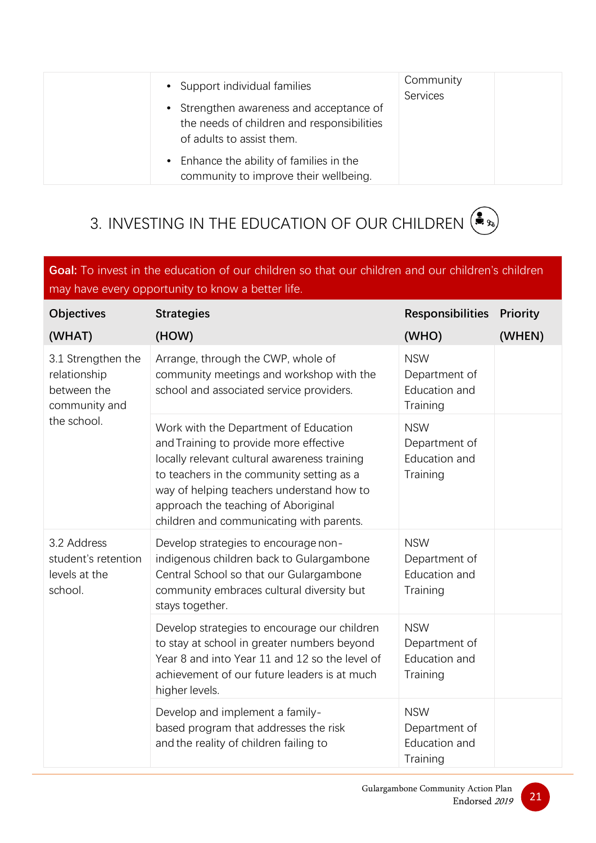| • Support individual families<br>• Strengthen awareness and acceptance of<br>the needs of children and responsibilities<br>of adults to assist them. | Community<br>Services |
|------------------------------------------------------------------------------------------------------------------------------------------------------|-----------------------|
| • Enhance the ability of families in the<br>community to improve their wellbeing.                                                                    |                       |

## <span id="page-24-0"></span>3. INVESTING IN THE EDUCATION OF OUR CHILDREN  $\left(\clubsuit_{\gg}\right)$

**Goal:** To invest in the education of our children so that our children and our children's children may have every opportunity to know a better life.

| <b>Objectives</b>                                                                 | <b>Strategies</b>                                                                                                                                                                                                                                                                                            | <b>Responsibilities</b>                                  | <b>Priority</b> |
|-----------------------------------------------------------------------------------|--------------------------------------------------------------------------------------------------------------------------------------------------------------------------------------------------------------------------------------------------------------------------------------------------------------|----------------------------------------------------------|-----------------|
| (WHAT)                                                                            | (HOW)                                                                                                                                                                                                                                                                                                        | (WHO)                                                    | (WHEN)          |
| 3.1 Strengthen the<br>relationship<br>between the<br>community and<br>the school. | Arrange, through the CWP, whole of<br>community meetings and workshop with the<br>school and associated service providers.                                                                                                                                                                                   | <b>NSW</b><br>Department of<br>Education and<br>Training |                 |
|                                                                                   | Work with the Department of Education<br>and Training to provide more effective<br>locally relevant cultural awareness training<br>to teachers in the community setting as a<br>way of helping teachers understand how to<br>approach the teaching of Aboriginal<br>children and communicating with parents. | <b>NSW</b><br>Department of<br>Education and<br>Training |                 |
| 3.2 Address<br>student's retention<br>levels at the<br>school.                    | Develop strategies to encourage non-<br>indigenous children back to Gulargambone<br>Central School so that our Gulargambone<br>community embraces cultural diversity but<br>stays together.                                                                                                                  | <b>NSW</b><br>Department of<br>Education and<br>Training |                 |
|                                                                                   | Develop strategies to encourage our children<br>to stay at school in greater numbers beyond<br>Year 8 and into Year 11 and 12 so the level of<br>achievement of our future leaders is at much<br>higher levels.                                                                                              | <b>NSW</b><br>Department of<br>Education and<br>Training |                 |
|                                                                                   | Develop and implement a family-<br>based program that addresses the risk<br>and the reality of children failing to                                                                                                                                                                                           | <b>NSW</b><br>Department of<br>Education and<br>Training |                 |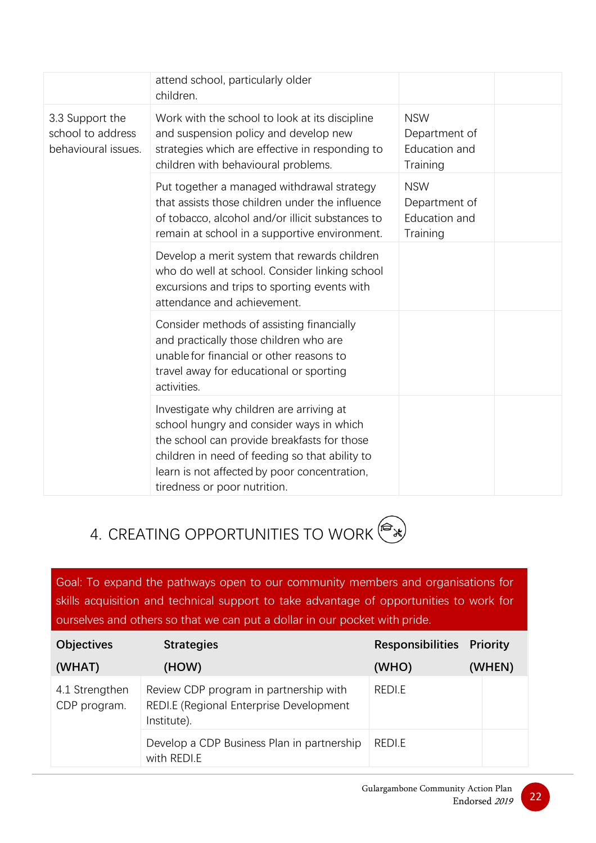|                                                             | attend school, particularly older<br>children.                                                                                                                                                                                                                        |                                                          |
|-------------------------------------------------------------|-----------------------------------------------------------------------------------------------------------------------------------------------------------------------------------------------------------------------------------------------------------------------|----------------------------------------------------------|
| 3.3 Support the<br>school to address<br>behavioural issues. | Work with the school to look at its discipline<br>and suspension policy and develop new<br>strategies which are effective in responding to<br>children with behavioural problems.                                                                                     | <b>NSW</b><br>Department of<br>Education and<br>Training |
|                                                             | Put together a managed withdrawal strategy<br>that assists those children under the influence<br>of tobacco, alcohol and/or illicit substances to<br>remain at school in a supportive environment.                                                                    | <b>NSW</b><br>Department of<br>Education and<br>Training |
|                                                             | Develop a merit system that rewards children<br>who do well at school. Consider linking school<br>excursions and trips to sporting events with<br>attendance and achievement.                                                                                         |                                                          |
|                                                             | Consider methods of assisting financially<br>and practically those children who are<br>unable for financial or other reasons to<br>travel away for educational or sporting<br>activities.                                                                             |                                                          |
|                                                             | Investigate why children are arriving at<br>school hungry and consider ways in which<br>the school can provide breakfasts for those<br>children in need of feeding so that ability to<br>learn is not affected by poor concentration,<br>tiredness or poor nutrition. |                                                          |

## <span id="page-25-0"></span>4. CREATING OPPORTUNITIES TO WORK

Goal: To expand the pathways open to our community members and organisations for skills acquisition and technical support to take advantage of opportunities to work for ourselves and others so that we can put a dollar in our pocket with pride.

| <b>Objectives</b>              | <b>Strategies</b>                                                                                | <b>Responsibilities Priority</b> |        |
|--------------------------------|--------------------------------------------------------------------------------------------------|----------------------------------|--------|
| (WHAT)                         | (HOW)                                                                                            | (WHO)                            | (WHEN) |
| 4.1 Strengthen<br>CDP program. | Review CDP program in partnership with<br>REDI.E (Regional Enterprise Development<br>Institute). | REDI.E                           |        |
|                                | Develop a CDP Business Plan in partnership<br>with REDI.E                                        | REDI.E                           |        |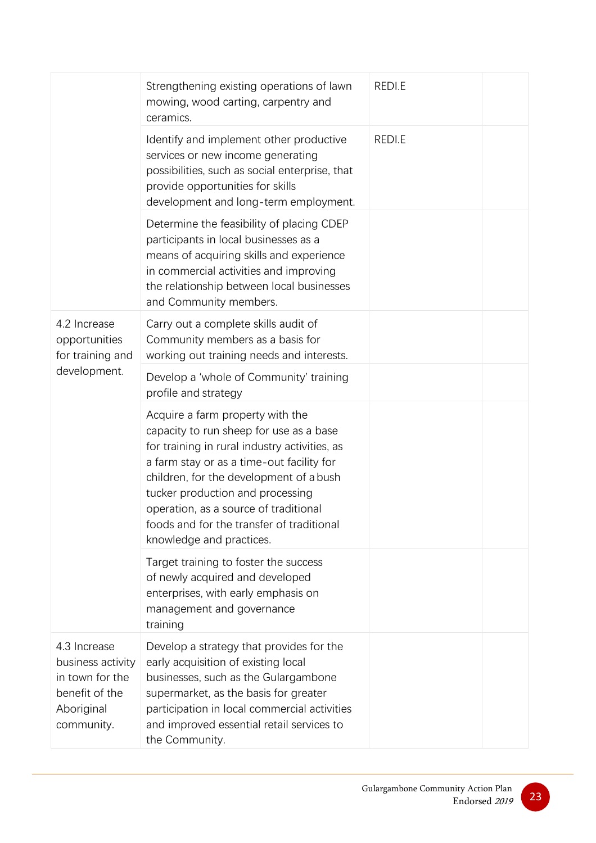|                                                                                                    | Strengthening existing operations of lawn<br>mowing, wood carting, carpentry and<br>ceramics.                                                                                                                                                                                                                                                                              | REDI.E |
|----------------------------------------------------------------------------------------------------|----------------------------------------------------------------------------------------------------------------------------------------------------------------------------------------------------------------------------------------------------------------------------------------------------------------------------------------------------------------------------|--------|
|                                                                                                    | Identify and implement other productive<br>services or new income generating<br>possibilities, such as social enterprise, that<br>provide opportunities for skills<br>development and long-term employment.                                                                                                                                                                | REDI.E |
|                                                                                                    | Determine the feasibility of placing CDEP<br>participants in local businesses as a<br>means of acquiring skills and experience<br>in commercial activities and improving<br>the relationship between local businesses<br>and Community members.                                                                                                                            |        |
| 4.2 Increase<br>opportunities<br>for training and<br>development.                                  | Carry out a complete skills audit of<br>Community members as a basis for<br>working out training needs and interests.                                                                                                                                                                                                                                                      |        |
|                                                                                                    | Develop a 'whole of Community' training<br>profile and strategy                                                                                                                                                                                                                                                                                                            |        |
|                                                                                                    | Acquire a farm property with the<br>capacity to run sheep for use as a base<br>for training in rural industry activities, as<br>a farm stay or as a time-out facility for<br>children, for the development of a bush<br>tucker production and processing<br>operation, as a source of traditional<br>foods and for the transfer of traditional<br>knowledge and practices. |        |
|                                                                                                    | Target training to foster the success<br>of newly acquired and developed<br>enterprises, with early emphasis on<br>management and governance<br>training                                                                                                                                                                                                                   |        |
| 4.3 Increase<br>business activity<br>in town for the<br>benefit of the<br>Aboriginal<br>community. | Develop a strategy that provides for the<br>early acquisition of existing local<br>businesses, such as the Gulargambone<br>supermarket, as the basis for greater<br>participation in local commercial activities<br>and improved essential retail services to<br>the Community.                                                                                            |        |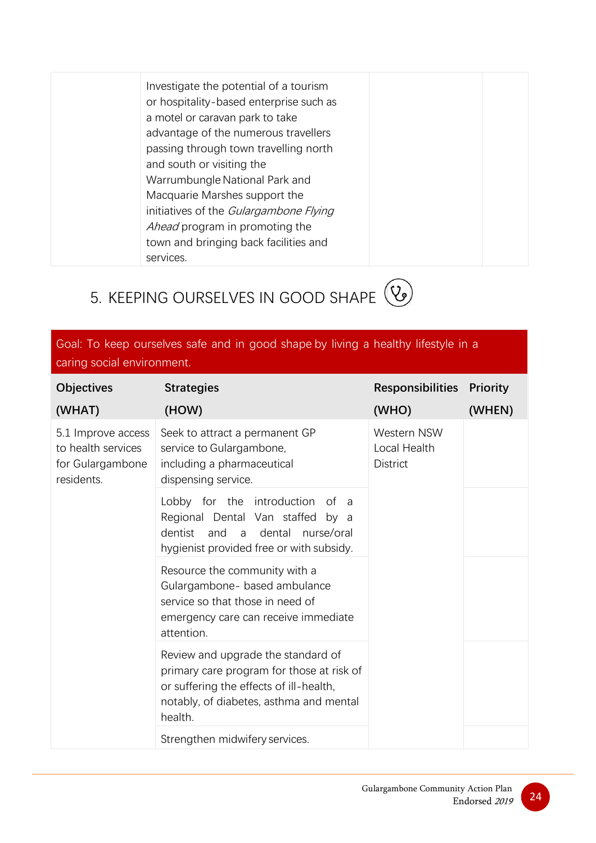Investigate the potential of a tourism or hospitality-based enterprise such as a motel or caravan park to take advantage of the numerous travellers passing through town travelling north and south or visiting the Warrumbungle National Park and Macquarie Marshes support the initiatives of the Gulargambone Flying Ahead program in promoting the town and bringing back facilities and services.

## <span id="page-27-0"></span>5. KEEPING OURSELVES IN GOOD SHAPE  $(2)$

#### Goal: To keep ourselves safe and in good shape by living a healthy lifestyle in a caring social environment.

| <b>Objectives</b>                                                          | <b>Strategies</b>                                                                                                                                                                | <b>Responsibilities</b>                        | <b>Priority</b> |
|----------------------------------------------------------------------------|----------------------------------------------------------------------------------------------------------------------------------------------------------------------------------|------------------------------------------------|-----------------|
| (WHAT)                                                                     | (HOW)                                                                                                                                                                            | (WHO)                                          | (WHEN)          |
| 5.1 Improve access<br>to health services<br>for Gulargambone<br>residents. | Seek to attract a permanent GP<br>service to Gulargambone,<br>including a pharmaceutical<br>dispensing service.                                                                  | Western NSW<br>Local Health<br><b>District</b> |                 |
|                                                                            | Lobby for the introduction of a<br>Regional Dental Van staffed by a<br>dentist<br>and<br>dental<br>nurse/oral<br>a<br>hygienist provided free or with subsidy.                   |                                                |                 |
|                                                                            | Resource the community with a<br>Gulargambone- based ambulance<br>service so that those in need of<br>emergency care can receive immediate<br>attention.                         |                                                |                 |
|                                                                            | Review and upgrade the standard of<br>primary care program for those at risk of<br>or suffering the effects of ill-health,<br>notably, of diabetes, asthma and mental<br>health. |                                                |                 |
|                                                                            | Strengthen midwifery services.                                                                                                                                                   |                                                |                 |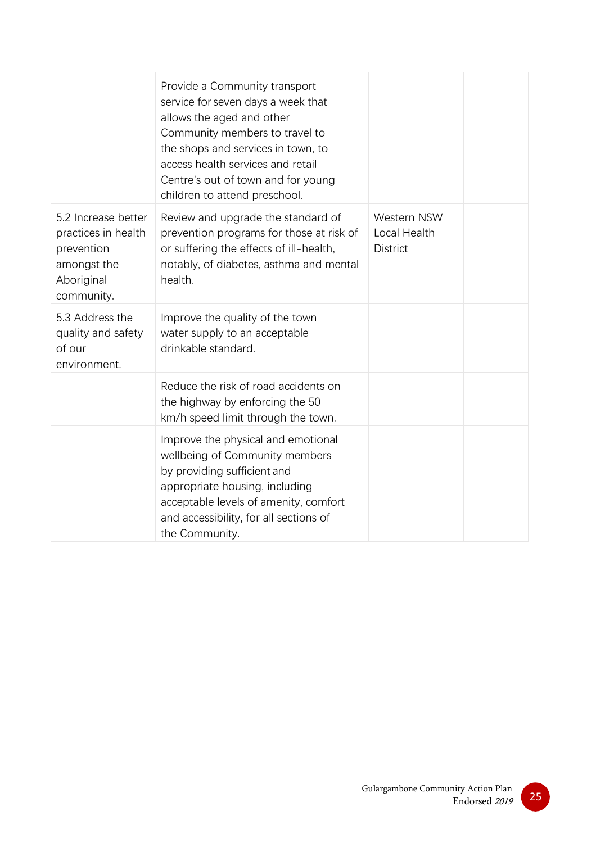|                                                                                                     | Provide a Community transport<br>service for seven days a week that<br>allows the aged and other<br>Community members to travel to<br>the shops and services in town, to<br>access health services and retail<br>Centre's out of town and for young<br>children to attend preschool. |                                                       |
|-----------------------------------------------------------------------------------------------------|--------------------------------------------------------------------------------------------------------------------------------------------------------------------------------------------------------------------------------------------------------------------------------------|-------------------------------------------------------|
| 5.2 Increase better<br>practices in health<br>prevention<br>amongst the<br>Aboriginal<br>community. | Review and upgrade the standard of<br>prevention programs for those at risk of<br>or suffering the effects of ill-health,<br>notably, of diabetes, asthma and mental<br>health.                                                                                                      | <b>Western NSW</b><br>Local Health<br><b>District</b> |
| 5.3 Address the<br>quality and safety<br>of our<br>environment.                                     | Improve the quality of the town<br>water supply to an acceptable<br>drinkable standard.                                                                                                                                                                                              |                                                       |
|                                                                                                     | Reduce the risk of road accidents on<br>the highway by enforcing the 50<br>km/h speed limit through the town.                                                                                                                                                                        |                                                       |
|                                                                                                     | Improve the physical and emotional<br>wellbeing of Community members<br>by providing sufficient and<br>appropriate housing, including<br>acceptable levels of amenity, comfort<br>and accessibility, for all sections of<br>the Community.                                           |                                                       |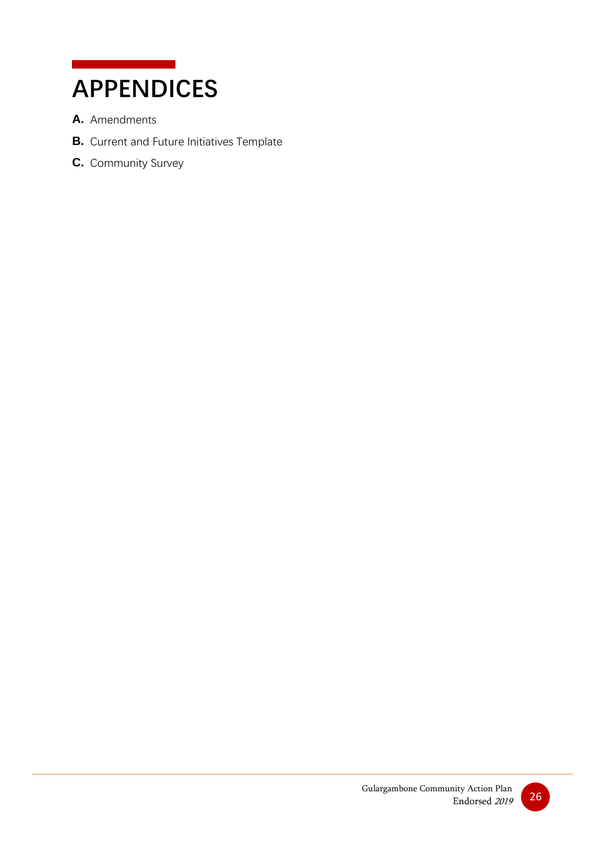## <span id="page-29-0"></span>**APPENDICES**

- **A.** Amendments
- **B.** Current and Future Initiatives Template
- **C.** Community Survey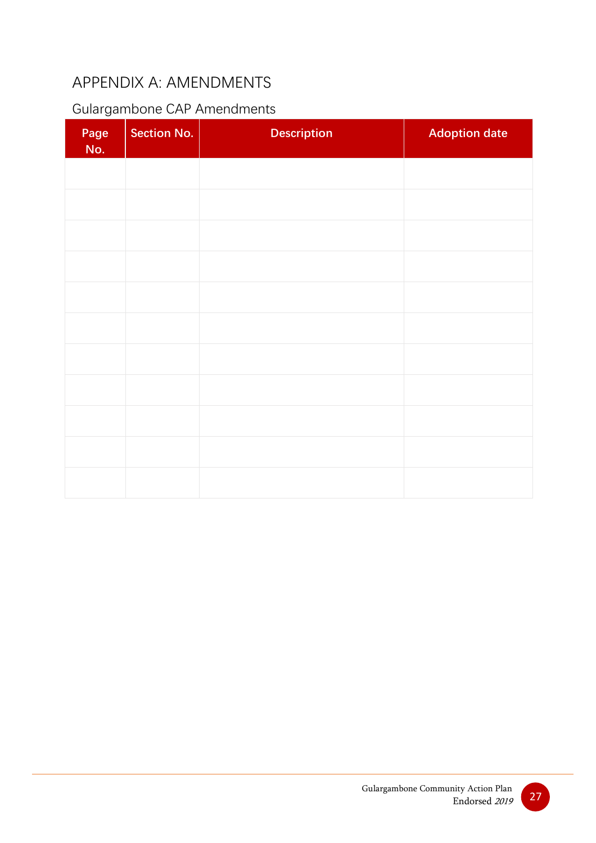## <span id="page-30-0"></span>APPENDIX A: AMENDMENTS

### Gulargambone CAP Amendments

| Page<br>No. | <b>Section No.</b> | <b>Description</b> | <b>Adoption date</b> |
|-------------|--------------------|--------------------|----------------------|
|             |                    |                    |                      |
|             |                    |                    |                      |
|             |                    |                    |                      |
|             |                    |                    |                      |
|             |                    |                    |                      |
|             |                    |                    |                      |
|             |                    |                    |                      |
|             |                    |                    |                      |
|             |                    |                    |                      |
|             |                    |                    |                      |
|             |                    |                    |                      |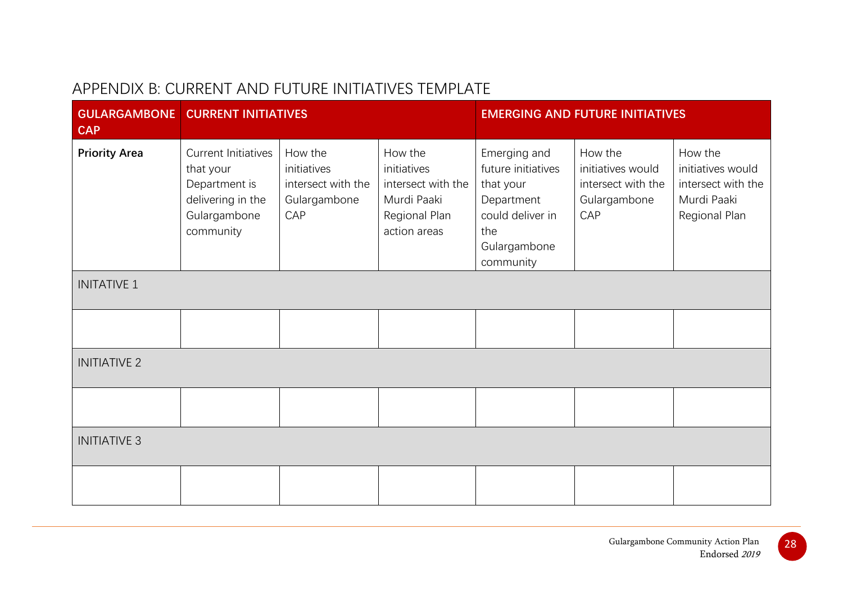### APPENDIX B: CURRENT AND FUTURE INITIATIVES TEMPLATE

<span id="page-31-0"></span>

| <b>CAP</b>           | <b>GULARGAMBONE   CURRENT INITIATIVES</b>                                                           |                                                                     |                                                                                              | <b>EMERGING AND FUTURE INITIATIVES</b>                                                                                |                                                                           |                                                                                    |
|----------------------|-----------------------------------------------------------------------------------------------------|---------------------------------------------------------------------|----------------------------------------------------------------------------------------------|-----------------------------------------------------------------------------------------------------------------------|---------------------------------------------------------------------------|------------------------------------------------------------------------------------|
| <b>Priority Area</b> | Current Initiatives<br>that your<br>Department is<br>delivering in the<br>Gulargambone<br>community | How the<br>initiatives<br>intersect with the<br>Gulargambone<br>CAP | How the<br>initiatives<br>intersect with the<br>Murdi Paaki<br>Regional Plan<br>action areas | Emerging and<br>future initiatives<br>that your<br>Department<br>could deliver in<br>the<br>Gulargambone<br>community | How the<br>initiatives would<br>intersect with the<br>Gulargambone<br>CAP | How the<br>initiatives would<br>intersect with the<br>Murdi Paaki<br>Regional Plan |
| <b>INITATIVE 1</b>   |                                                                                                     |                                                                     |                                                                                              |                                                                                                                       |                                                                           |                                                                                    |
|                      |                                                                                                     |                                                                     |                                                                                              |                                                                                                                       |                                                                           |                                                                                    |
| <b>INITIATIVE 2</b>  |                                                                                                     |                                                                     |                                                                                              |                                                                                                                       |                                                                           |                                                                                    |
|                      |                                                                                                     |                                                                     |                                                                                              |                                                                                                                       |                                                                           |                                                                                    |
| <b>INITIATIVE 3</b>  |                                                                                                     |                                                                     |                                                                                              |                                                                                                                       |                                                                           |                                                                                    |
|                      |                                                                                                     |                                                                     |                                                                                              |                                                                                                                       |                                                                           |                                                                                    |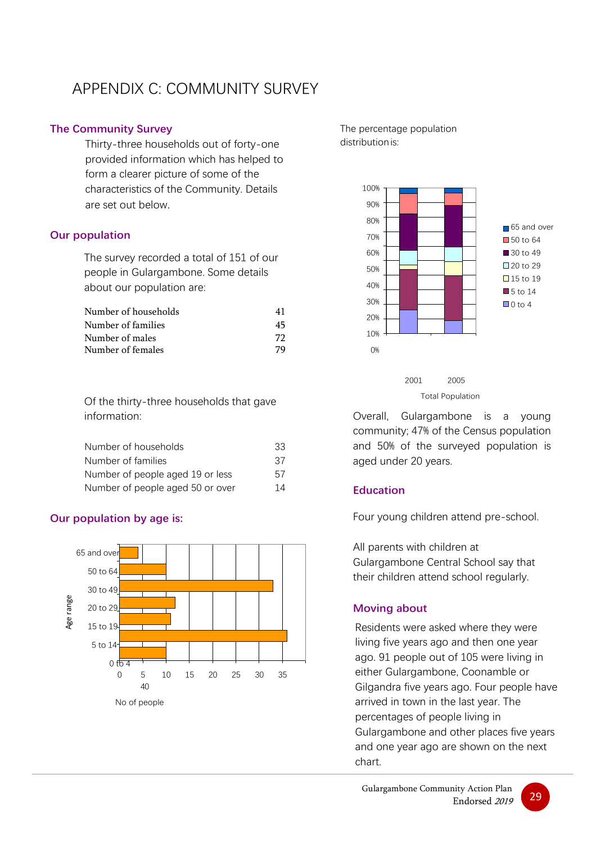### <span id="page-32-0"></span>APPENDIX C: COMMUNITY SURVEY

#### <span id="page-32-1"></span>**The Community Survey**

Thirty-three households out of forty-one provided information which has helped to form a clearer picture of some of the characteristics of the Community. Details are set out below.

#### <span id="page-32-2"></span>**Our population**

The survey recorded a total of 151 of our people in Gulargambone. Some details about our population are:

| Number of households | 41 |
|----------------------|----|
| Number of families   | 45 |
| Number of males      | 72 |
| Number of females    | 79 |

Of the thirty-three households that gave information:

| Number of households             | 33 |
|----------------------------------|----|
| Number of families               | 37 |
| Number of people aged 19 or less | 57 |
| Number of people aged 50 or over | 14 |

#### <span id="page-32-3"></span>**Our population by age is:**



The percentage population distributionis:





Overall, Gulargambone is a young community; 47% of the Census population and 50% of the surveyed population is aged under 20 years.

#### <span id="page-32-4"></span>**Education**

Four young children attend pre-school.

All parents with children at Gulargambone Central School say that their children attend school regularly.

#### <span id="page-32-5"></span>**Moving about**

Residents were asked where they were living five years ago and then one year ago. 91 people out of 105 were living in either Gulargambone, Coonamble or Gilgandra five years ago. Four people have arrived in town in the last year. The percentages of people living in Gulargambone and other places five years and one year ago are shown on the next chart.